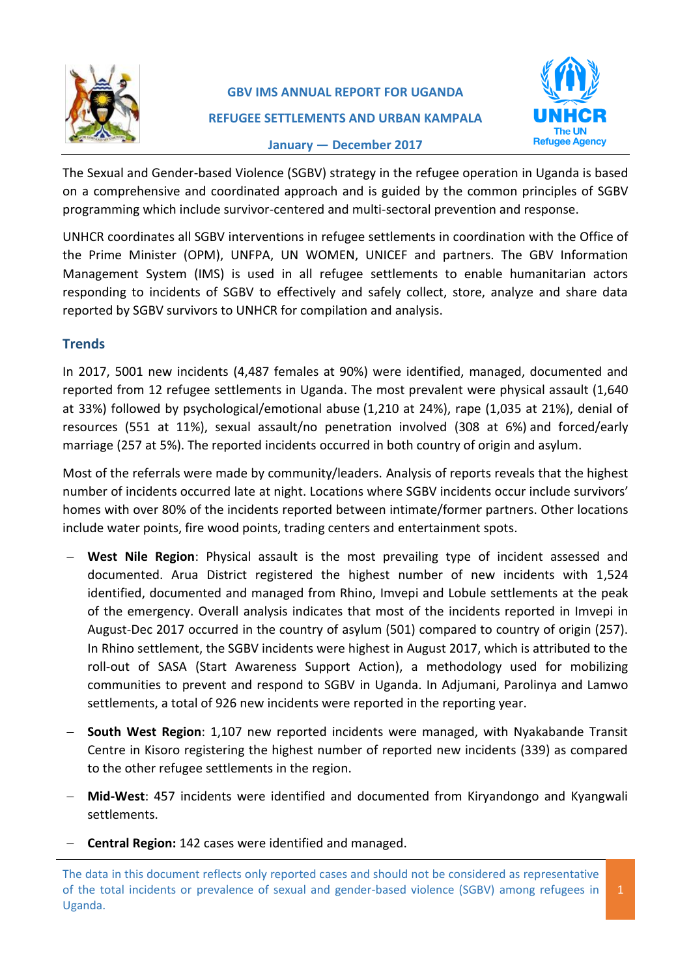

# **GBV IMS ANNUAL REPORT FOR UGANDA REFUGEE SETTLEMENTS AND URBAN KAMPALA January — December 2017**



The Sexual and Gender-based Violence (SGBV) strategy in the refugee operation in Uganda is based on a comprehensive and coordinated approach and is guided by the common principles of SGBV programming which include survivor-centered and multi-sectoral prevention and response.

UNHCR coordinates all SGBV interventions in refugee settlements in coordination with the Office of the Prime Minister (OPM), UNFPA, UN WOMEN, UNICEF and partners. The GBV Information Management System (IMS) is used in all refugee settlements to enable humanitarian actors responding to incidents of SGBV to effectively and safely collect, store, analyze and share data reported by SGBV survivors to UNHCR for compilation and analysis.

## **Trends**

In 2017, 5001 new incidents (4,487 females at 90%) were identified, managed, documented and reported from 12 refugee settlements in Uganda. The most prevalent were physical assault (1,640 at 33%) followed by psychological/emotional abuse (1,210 at 24%), rape (1,035 at 21%), denial of resources (551 at 11%), sexual assault/no penetration involved (308 at 6%) and forced/early marriage (257 at 5%). The reported incidents occurred in both country of origin and asylum.

Most of the referrals were made by community/leaders. Analysis of reports reveals that the highest number of incidents occurred late at night. Locations where SGBV incidents occur include survivors' homes with over 80% of the incidents reported between intimate/former partners. Other locations include water points, fire wood points, trading centers and entertainment spots.

- **West Nile Region**: Physical assault is the most prevailing type of incident assessed and documented. Arua District registered the highest number of new incidents with 1,524 identified, documented and managed from Rhino, Imvepi and Lobule settlements at the peak of the emergency. Overall analysis indicates that most of the incidents reported in Imvepi in August-Dec 2017 occurred in the country of asylum (501) compared to country of origin (257). In Rhino settlement, the SGBV incidents were highest in August 2017, which is attributed to the roll-out of SASA (Start Awareness Support Action), a methodology used for mobilizing communities to prevent and respond to SGBV in Uganda. In Adjumani, Parolinya and Lamwo settlements, a total of 926 new incidents were reported in the reporting year.
- **South West Region**: 1,107 new reported incidents were managed, with Nyakabande Transit Centre in Kisoro registering the highest number of reported new incidents (339) as compared to the other refugee settlements in the region.
- **Mid-West**: 457 incidents were identified and documented from Kiryandongo and Kyangwali settlements.
- **Central Region:** 142 cases were identified and managed.

The data in this document reflects only reported cases and should not be considered as representative of the total incidents or prevalence of sexual and gender-based violence (SGBV) among refugees in Uganda.